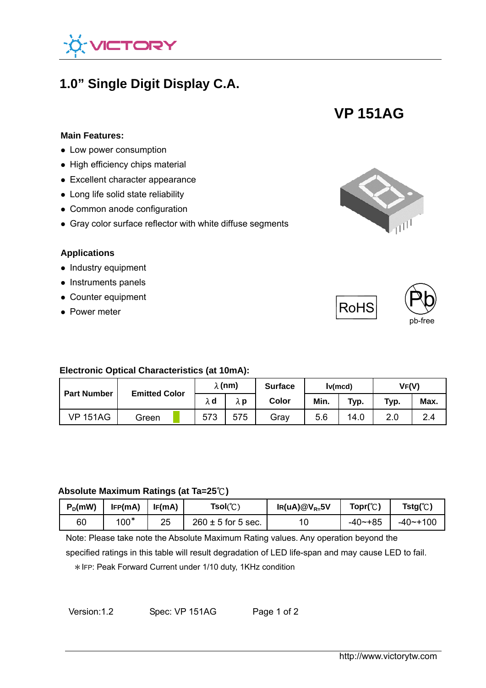

# **1.0" Single Digit Display C.A.**

**VP 151AG** 

#### **Main Features:**

- **Low power consumption**
- High efficiency chips material
- Excellent character appearance
- Long life solid state reliability
- Common anode configuration
- Gray color surface reflector with white diffuse segments

#### **Applications**

- $\bullet$  Industry equipment
- Instruments panels
- Counter equipment
- Power meter





#### **Electronic Optical Characteristics (at 10mA):**

| <b>Part Number</b> | <b>Emitted Color</b> | $\lambda$ (nm) |     | <b>Surface</b> | lv(mcd) |      | VF(V) |      |
|--------------------|----------------------|----------------|-----|----------------|---------|------|-------|------|
|                    |                      | λd             | λp  | Color          | Min.    | Typ. | Typ.  | Max. |
| <b>VP 151AG</b>    | Green                | 573            | 575 | Grav           | 5.6     | 14.0 | 2.0   | 2.4  |

#### **Absolute Maximum Ratings (at Ta=25**℃**)**

| $P_D$ (mW) | IFP(mA) | IF(mA) | $Tsol(\mathbb{C})$     | $IR(uA)@V_{R=}5V$ | $\mathsf{Topr}({\mathbb C})$ | $Tstg(\mathbb{C})$ |
|------------|---------|--------|------------------------|-------------------|------------------------------|--------------------|
| 60         | $100*$  | 25     | $260 \pm 5$ for 5 sec. | 10                | $-40 - +85$                  | $-40$ ~ + 100      |

Note: Please take note the Absolute Maximum Rating values. Any operation beyond the

specified ratings in this table will result degradation of LED life-span and may cause LED to fail.

\*IFP: Peak Forward Current under 1/10 duty, 1KHz condition

Version:1.2 Spec: VP 151AG Page 1 of 2